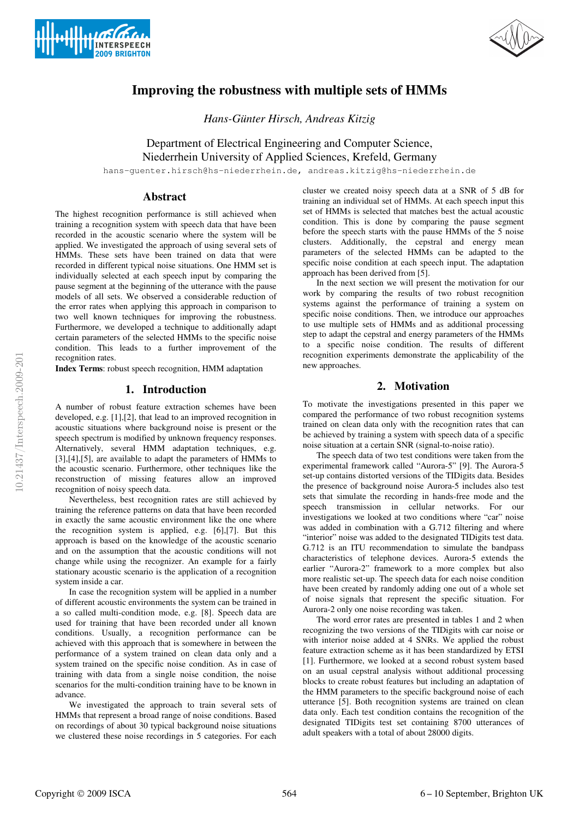



# **Improving the robustness with multiple sets of HMMs**

*Hans-Günter Hirsch, Andreas Kitzig*

Department of Electrical Engineering and Computer Science, Niederrhein University of Applied Sciences, Krefeld, Germany

hans-guenter.hirsch@hs-niederrhein.de, andreas.kitzig@hs-niederrhein.de

# **Abstract**

The highest recognition performance is still achieved when training a recognition system with speech data that have been recorded in the acoustic scenario where the system will be applied. We investigated the approach of using several sets of HMMs. These sets have been trained on data that were recorded in different typical noise situations. One HMM set is individually selected at each speech input by comparing the pause segment at the beginning of the utterance with the pause models of all sets. We observed a considerable reduction of the error rates when applying this approach in comparison to two well known techniques for improving the robustness. Furthermore, we developed a technique to additionally adapt certain parameters of the selected HMMs to the specific noise condition. This leads to a further improvement of the recognition rates.

**Index Terms**: robust speech recognition, HMM adaptation

## **1. Introduction**

A number of robust feature extraction schemes have been developed, e.g. [1],[2], that lead to an improved recognition in acoustic situations where background noise is present or the speech spectrum is modified by unknown frequency responses. Alternatively, several HMM adaptation techniques, e.g. [3],[4],[5], are available to adapt the parameters of HMMs to the acoustic scenario. Furthermore, other techniques like the reconstruction of missing features allow an improved recognition of noisy speech data.

Nevertheless, best recognition rates are still achieved by training the reference patterns on data that have been recorded in exactly the same acoustic environment like the one where the recognition system is applied, e.g. [6],[7]. But this approach is based on the knowledge of the acoustic scenario and on the assumption that the acoustic conditions will not change while using the recognizer. An example for a fairly stationary acoustic scenario is the application of a recognition system inside a car.

In case the recognition system will be applied in a number of different acoustic environments the system can be trained in a so called multi-condition mode, e.g. [8]. Speech data are used for training that have been recorded under all known conditions. Usually, a recognition performance can be achieved with this approach that is somewhere in between the performance of a system trained on clean data only and a system trained on the specific noise condition. As in case of training with data from a single noise condition, the noise scenarios for the multi-condition training have to be known in advance.

We investigated the approach to train several sets of HMMs that represent a broad range of noise conditions. Based on recordings of about 30 typical background noise situations we clustered these noise recordings in 5 categories. For each

cluster we created noisy speech data at a SNR of 5 dB for training an individual set of HMMs. At each speech input this set of HMMs is selected that matches best the actual acoustic condition. This is done by comparing the pause segment before the speech starts with the pause HMMs of the 5 noise clusters. Additionally, the cepstral and energy mean parameters of the selected HMMs can be adapted to the specific noise condition at each speech input. The adaptation approach has been derived from [5].

In the next section we will present the motivation for our work by comparing the results of two robust recognition systems against the performance of training a system on specific noise conditions. Then, we introduce our approaches to use multiple sets of HMMs and as additional processing step to adapt the cepstral and energy parameters of the HMMs to a specific noise condition. The results of different recognition experiments demonstrate the applicability of the new approaches.

# **2. Motivation**

To motivate the investigations presented in this paper we compared the performance of two robust recognition systems trained on clean data only with the recognition rates that can be achieved by training a system with speech data of a specific noise situation at a certain SNR (signal-to-noise ratio).

The speech data of two test conditions were taken from the experimental framework called "Aurora-5" [9]. The Aurora-5 set-up contains distorted versions of the TIDigits data. Besides the presence of background noise Aurora-5 includes also test sets that simulate the recording in hands-free mode and the speech transmission in cellular networks. For our investigations we looked at two conditions where "car" noise was added in combination with a G.712 filtering and where "interior" noise was added to the designated TIDigits test data. G.712 is an ITU recommendation to simulate the bandpass characteristics of telephone devices. Aurora-5 extends the earlier "Aurora-2" framework to a more complex but also more realistic set-up. The speech data for each noise condition have been created by randomly adding one out of a whole set of noise signals that represent the specific situation. For Aurora-2 only one noise recording was taken.

The word error rates are presented in tables 1 and 2 when recognizing the two versions of the TIDigits with car noise or with interior noise added at 4 SNRs. We applied the robust feature extraction scheme as it has been standardized by ETSI [1]. Furthermore, we looked at a second robust system based on an usual cepstral analysis without additional processing blocks to create robust features but including an adaptation of the HMM parameters to the specific background noise of each utterance [5]. Both recognition systems are trained on clean data only. Each test condition contains the recognition of the designated TIDigits test set containing 8700 utterances of adult speakers with a total of about 28000 digits.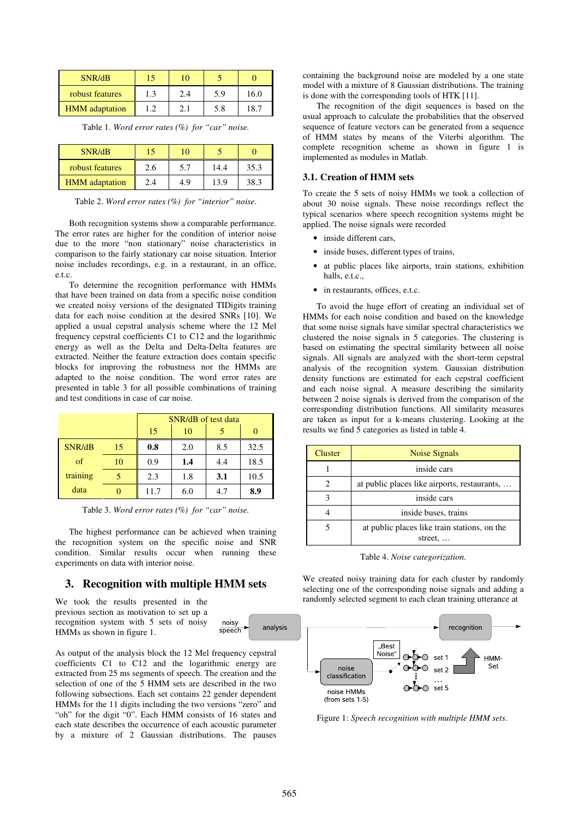| SNR/dB                |     | ۱0  |     |      |
|-----------------------|-----|-----|-----|------|
| robust features       | 1.3 | 2.4 | 5.9 | 16.0 |
| <b>HMM</b> adaptation |     | 2.7 | 5.8 | 18.7 |

Table 1. *Word error rates (%) for "car" noise.*

| SNR/dB                | 15  | 10  |      |      |
|-----------------------|-----|-----|------|------|
| robust features       | 2.6 | 5.7 | 14.4 | 35.3 |
| <b>HMM</b> adaptation | 2.4 | 4.9 | 13.9 | 38.3 |

Table 2. *Word error rates (%) for "interior" noise.*

Both recognition systems show a comparable performance. The error rates are higher for the condition of interior noise due to the more "non stationary" noise characteristics in comparison to the fairly stationary car noise situation. Interior noise includes recordings, e.g. in a restaurant, in an office, e.t.c.

To determine the recognition performance with HMMs that have been trained on data from a specific noise condition we created noisy versions of the designated TIDigits training data for each noise condition at the desired SNRs [10]. We applied a usual cepstral analysis scheme where the 12 Mel frequency cepstral coefficients C1 to C12 and the logarithmic energy as well as the Delta and Delta-Delta features are extracted. Neither the feature extraction does contain specific blocks for improving the robustness nor the HMMs are adapted to the noise condition. The word error rates are presented in table 3 for all possible combinations of training and test conditions in case of car noise.

|            |    | SNR/dB of test data |     |     |      |
|------------|----|---------------------|-----|-----|------|
|            |    | 15                  | 10  |     |      |
| SNR/dB     | 15 | 0.8                 | 2.0 | 8.5 | 32.5 |
| $\alpha$ f | 10 | 0.9                 | 1.4 | 4.4 | 18.5 |
| training   |    | 2.3                 | 1.8 | 3.1 | 10.5 |
| data       |    | 11.7                | 6.0 | 4.7 | 8.9  |

Table 3. *Word error rates (%) for "car" noise.*

The highest performance can be achieved when training the recognition system on the specific noise and SNR condition. Similar results occur when running these experiments on data with interior noise.

## **3. Recognition with multiple HMM sets**

We took the results presented in the previous section as motivation to set up a recognition system with 5 sets of noisy HMMs as shown in figure 1.



As output of the analysis block the 12 Mel frequency cepstral coefficients C1 to C12 and the logarithmic energy are extracted from 25 ms segments of speech. The creation and the selection of one of the 5 HMM sets are described in the two following subsections. Each set contains 22 gender dependent HMMs for the 11 digits including the two versions "zero" and "oh" for the digit "0". Each HMM consists of 16 states and each state describes the occurrence of each acoustic parameter by a mixture of 2 Gaussian distributions. The pauses containing the background noise are modeled by a one state model with a mixture of 8 Gaussian distributions. The training is done with the corresponding tools of HTK [11].

The recognition of the digit sequences is based on the usual approach to calculate the probabilities that the observed sequence of feature vectors can be generated from a sequence of HMM states by means of the Viterbi algorithm. The complete recognition scheme as shown in figure 1 is implemented as modules in Matlab.

## **3.1. Creation of HMM sets**

To create the 5 sets of noisy HMMs we took a collection of about 30 noise signals. These noise recordings reflect the typical scenarios where speech recognition systems might be applied. The noise signals were recorded

- inside different cars,
- inside buses, different types of trains,
- at public places like airports, train stations, exhibition halls, e.t.c.,
- in restaurants, offices, e.t.c.

To avoid the huge effort of creating an individual set of HMMs for each noise condition and based on the knowledge that some noise signals have similar spectral characteristics we clustered the noise signals in 5 categories. The clustering is based on estimating the spectral similarity between all noise signals. All signals are analyzed with the short-term cepstral analysis of the recognition system. Gaussian distribution density functions are estimated for each cepstral coefficient and each noise signal. A measure describing the similarity between 2 noise signals is derived from the comparison of the corresponding distribution functions. All similarity measures are taken as input for a k-means clustering. Looking at the results we find 5 categories as listed in table 4.

| Cluster | Noise Signals                                                   |  |  |
|---------|-----------------------------------------------------------------|--|--|
|         | inside cars                                                     |  |  |
|         | at public places like airports, restaurants,                    |  |  |
|         | inside cars                                                     |  |  |
|         | inside buses, trains                                            |  |  |
|         | at public places like train stations, on the<br>street. $\dots$ |  |  |

Table 4. *Noise categorization.*

We created noisy training data for each cluster by randomly selecting one of the corresponding noise signals and adding a randomly selected segment to each clean training utterance at



Figure 1: *Speech recognition with multiple HMM sets*.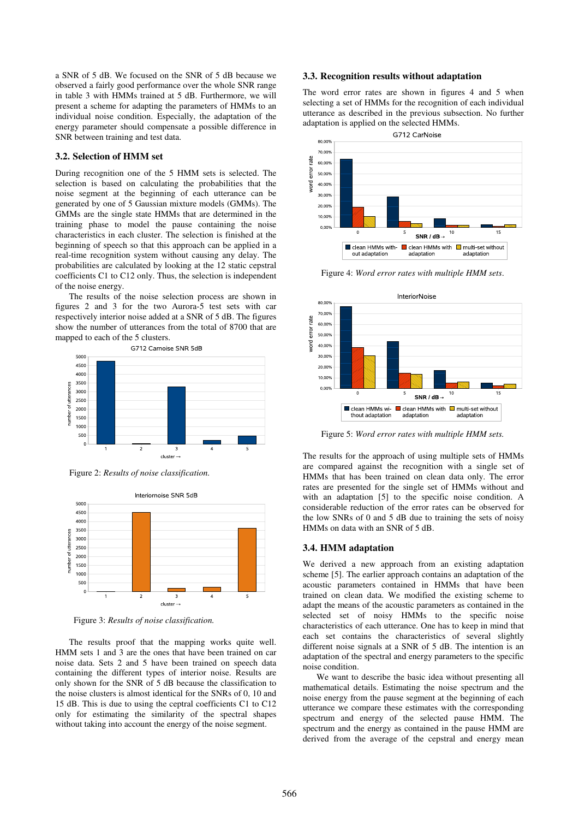a SNR of 5 dB. We focused on the SNR of 5 dB because we observed a fairly good performance over the whole SNR range in table 3 with HMMs trained at 5 dB. Furthermore, we will present a scheme for adapting the parameters of HMMs to an individual noise condition. Especially, the adaptation of the energy parameter should compensate a possible difference in SNR between training and test data.

#### **3.2. Selection of HMM set**

During recognition one of the 5 HMM sets is selected. The selection is based on calculating the probabilities that the noise segment at the beginning of each utterance can be generated by one of 5 Gaussian mixture models (GMMs). The GMMs are the single state HMMs that are determined in the training phase to model the pause containing the noise characteristics in each cluster. The selection is finished at the beginning of speech so that this approach can be applied in a real-time recognition system without causing any delay. The probabilities are calculated by looking at the 12 static cepstral coefficients C1 to C12 only. Thus, the selection is independent of the noise energy.

The results of the noise selection process are shown in figures 2 and 3 for the two Aurora-5 test sets with car respectively interior noise added at a SNR of 5 dB. The figures show the number of utterances from the total of 8700 that are mapped to each of the 5 clusters.



Figure 2: *Results of noise classification.*



Figure 3: *Results of noise classification.*

The results proof that the mapping works quite well. HMM sets 1 and 3 are the ones that have been trained on car noise data. Sets 2 and 5 have been trained on speech data containing the different types of interior noise. Results are only shown for the SNR of 5 dB because the classification to the noise clusters is almost identical for the SNRs of 0, 10 and 15 dB. This is due to using the ceptral coefficients C1 to C12 only for estimating the similarity of the spectral shapes without taking into account the energy of the noise segment.

#### **3.3. Recognition results without adaptation**

The word error rates are shown in figures 4 and 5 when selecting a set of HMMs for the recognition of each individual utterance as described in the previous subsection. No further adaptation is applied on the selected HMMs.



Figure 4: *Word error rates with multiple HMM sets*.



Figure 5: *Word error rates with multiple HMM sets.*

The results for the approach of using multiple sets of HMMs are compared against the recognition with a single set of HMMs that has been trained on clean data only. The error rates are presented for the single set of HMMs without and with an adaptation [5] to the specific noise condition. A considerable reduction of the error rates can be observed for the low SNRs of 0 and 5 dB due to training the sets of noisy HMMs on data with an SNR of 5 dB.

#### **3.4. HMM adaptation**

We derived a new approach from an existing adaptation scheme [5]. The earlier approach contains an adaptation of the acoustic parameters contained in HMMs that have been trained on clean data. We modified the existing scheme to adapt the means of the acoustic parameters as contained in the selected set of noisy HMMs to the specific noise characteristics of each utterance. One has to keep in mind that each set contains the characteristics of several slightly different noise signals at a SNR of 5 dB. The intention is an adaptation of the spectral and energy parameters to the specific noise condition.

We want to describe the basic idea without presenting all mathematical details. Estimating the noise spectrum and the noise energy from the pause segment at the beginning of each utterance we compare these estimates with the corresponding spectrum and energy of the selected pause HMM. The spectrum and the energy as contained in the pause HMM are derived from the average of the cepstral and energy mean